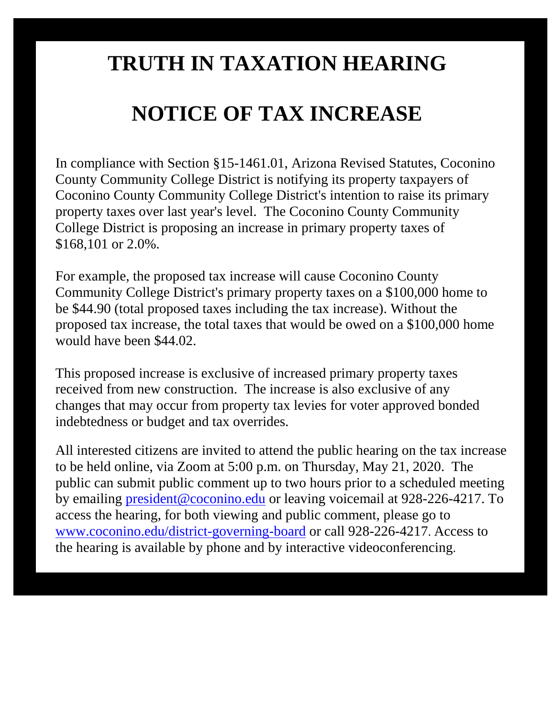## **TRUTH IN TAXATION HEARING**

## **NOTICE OF TAX INCREASE**

In compliance with Section §15-1461.01, Arizona Revised Statutes, Coconino County Community College District is notifying its property taxpayers of Coconino County Community College District's intention to raise its primary property taxes over last year's level. The Coconino County Community College District is proposing an increase in primary property taxes of \$168,101 or 2.0%.

For example, the proposed tax increase will cause Coconino County Community College District's primary property taxes on a \$100,000 home to be \$44.90 (total proposed taxes including the tax increase). Without the proposed tax increase, the total taxes that would be owed on a \$100,000 home would have been \$44.02.

This proposed increase is exclusive of increased primary property taxes received from new construction. The increase is also exclusive of any changes that may occur from property tax levies for voter approved bonded indebtedness or budget and tax overrides.

All interested citizens are invited to attend the public hearing on the tax increase to be held online, via Zoom at 5:00 p.m. on Thursday, May 21, 2020. The public can submit public comment up to two hours prior to a scheduled meeting by emailing [president@coconino.edu](mailto:president@coconino.edu) or leaving voicemail at 928-226-4217. To access the hearing, for both viewing and public comment, please go to [www.coconino.edu/district-governing-board](http://www.coconino.edu/district-governing-board) or call 928-226-4217. Access to the hearing is available by phone and by interactive videoconferencing.